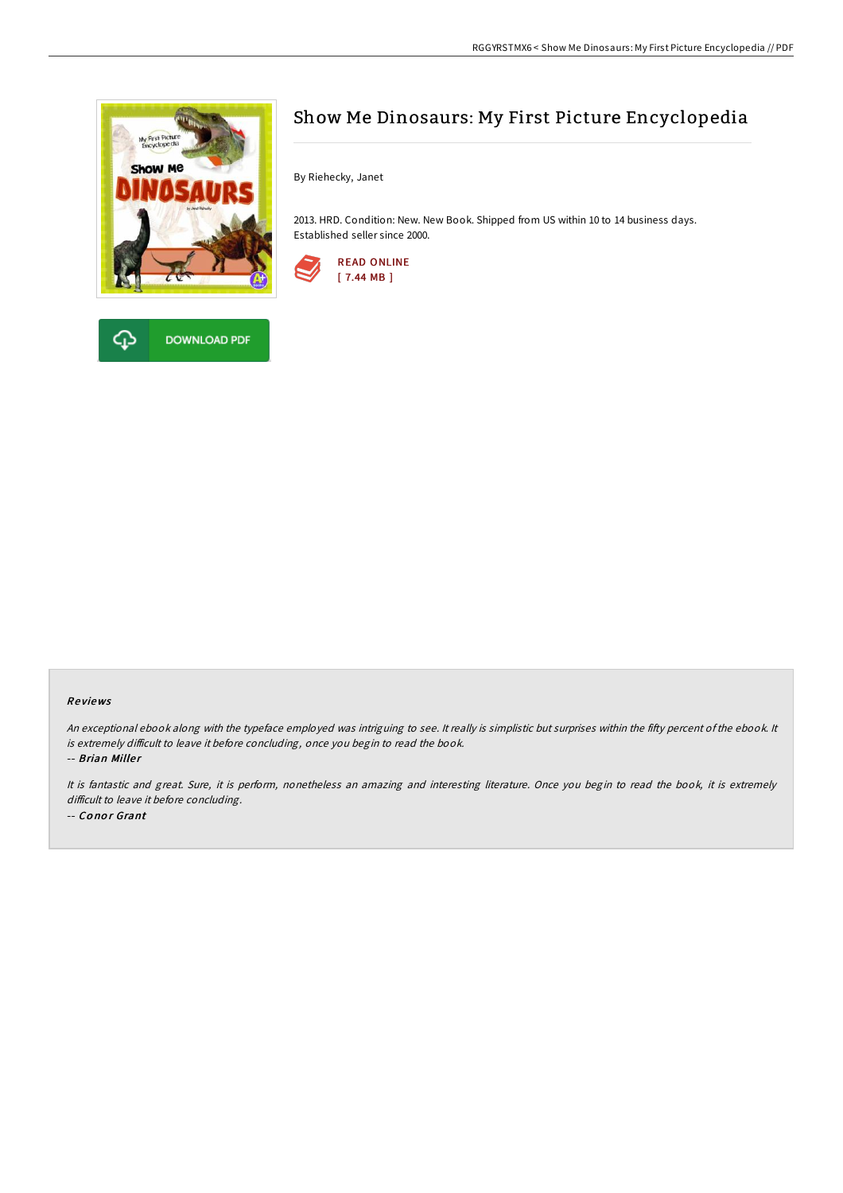

**DOWNLOAD PDF** 



By Riehecky, Janet

2013. HRD. Condition: New. New Book. Shipped from US within 10 to 14 business days. Established seller since 2000.



## Re views

An exceptional ebook along with the typeface employed was intriguing to see. It really is simplistic but surprises within the fifty percent of the ebook. It is extremely difficult to leave it before concluding, once you begin to read the book.

-- Brian Miller

It is fantastic and great. Sure, it is perform, nonetheless an amazing and interesting literature. Once you begin to read the book, it is extremely difficult to leave it before concluding. -- Conor Grant